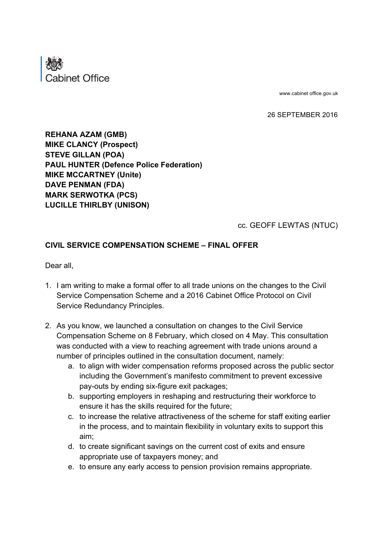

www.cabinet office.gov.uk

26 SEPTEMBER 2016

**REHANA AZAM (GMB) MIKE CLANCY (Prospect) STEVE GILLAN (POA) PAUL HUNTER (Defence Police Federation) MIKE MCCARTNEY (Unite) DAVE PENMAN (FDA) MARK SERWOTKA (PCS) LUCILLE THIRLBY (UNISON)**

cc. GEOFF LEWTAS (NTUC)

## **CIVIL SERVICE COMPENSATION SCHEME – FINAL OFFER**

Dear all,

- 1. I am writing to make a formal offer to all trade unions on the changes to the Civil Service Compensation Scheme and a 2016 Cabinet Office Protocol on Civil Service Redundancy Principles.
- 2. As you know, we launched a consultation on changes to the Civil Service Compensation Scheme on 8 February, which closed on 4 May. This consultation was conducted with a view to reaching agreement with trade unions around a number of principles outlined in the consultation document, namely:
	- a. to align with wider compensation reforms proposed across the public sector including the Government's manifesto commitment to prevent excessive pay-outs by ending six-figure exit packages;
	- b. supporting employers in reshaping and restructuring their workforce to ensure it has the skills required for the future;
	- c. to increase the relative attractiveness of the scheme for staff exiting earlier in the process, and to maintain flexibility in voluntary exits to support this aim;
	- d. to create significant savings on the current cost of exits and ensure appropriate use of taxpayers money; and
	- e. to ensure any early access to pension provision remains appropriate.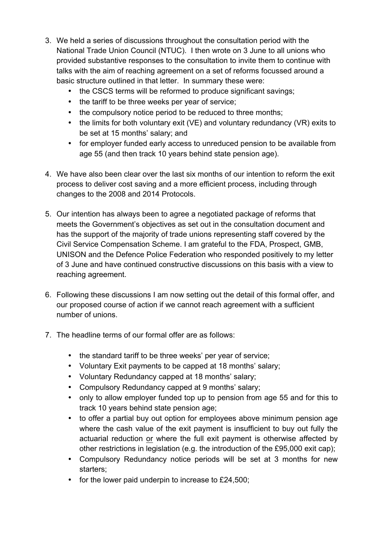- 3. We held a series of discussions throughout the consultation period with the National Trade Union Council (NTUC). I then wrote on 3 June to all unions who provided substantive responses to the consultation to invite them to continue with talks with the aim of reaching agreement on a set of reforms focussed around a basic structure outlined in that letter. In summary these were:
	- the CSCS terms will be reformed to produce significant savings;
	- the tariff to be three weeks per year of service;
	- the compulsory notice period to be reduced to three months;
	- the limits for both voluntary exit (VE) and voluntary redundancy (VR) exits to be set at 15 months' salary; and
	- for employer funded early access to unreduced pension to be available from age 55 (and then track 10 years behind state pension age).
- 4. We have also been clear over the last six months of our intention to reform the exit process to deliver cost saving and a more efficient process, including through changes to the 2008 and 2014 Protocols.
- 5. Our intention has always been to agree a negotiated package of reforms that meets the Government's objectives as set out in the consultation document and has the support of the majority of trade unions representing staff covered by the Civil Service Compensation Scheme. I am grateful to the FDA, Prospect, GMB, UNISON and the Defence Police Federation who responded positively to my letter of 3 June and have continued constructive discussions on this basis with a view to reaching agreement.
- 6. Following these discussions I am now setting out the detail of this formal offer, and our proposed course of action if we cannot reach agreement with a sufficient number of unions.
- 7. The headline terms of our formal offer are as follows:
	- the standard tariff to be three weeks' per year of service;
	- Voluntary Exit payments to be capped at 18 months' salary;
	- Voluntary Redundancy capped at 18 months' salary;
	- Compulsory Redundancy capped at 9 months' salary;
	- only to allow employer funded top up to pension from age 55 and for this to track 10 years behind state pension age;
	- to offer a partial buy out option for employees above minimum pension age where the cash value of the exit payment is insufficient to buy out fully the actuarial reduction or where the full exit payment is otherwise affected by other restrictions in legislation (e.g. the introduction of the £95,000 exit cap);
	- Compulsory Redundancy notice periods will be set at 3 months for new starters;
	- for the lower paid underpin to increase to £24,500;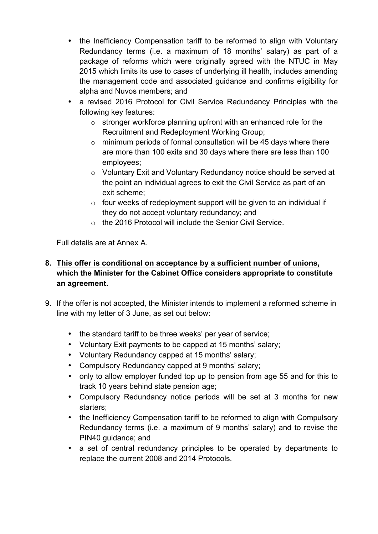- the Inefficiency Compensation tariff to be reformed to align with Voluntary Redundancy terms (i.e. a maximum of 18 months' salary) as part of a package of reforms which were originally agreed with the NTUC in May 2015 which limits its use to cases of underlying ill health, includes amending the management code and associated guidance and confirms eligibility for alpha and Nuvos members; and
- a revised 2016 Protocol for Civil Service Redundancy Principles with the following key features:
	- o stronger workforce planning upfront with an enhanced role for the Recruitment and Redeployment Working Group;
	- $\circ$  minimum periods of formal consultation will be 45 days where there are more than 100 exits and 30 days where there are less than 100 employees;
	- o Voluntary Exit and Voluntary Redundancy notice should be served at the point an individual agrees to exit the Civil Service as part of an exit scheme;
	- $\circ$  four weeks of redeployment support will be given to an individual if they do not accept voluntary redundancy; and
	- o the 2016 Protocol will include the Senior Civil Service.

Full details are at Annex A.

## **8. This offer is conditional on acceptance by a sufficient number of unions, which the Minister for the Cabinet Office considers appropriate to constitute an agreement.**

- 9. If the offer is not accepted, the Minister intends to implement a reformed scheme in line with my letter of 3 June, as set out below:
	- the standard tariff to be three weeks' per year of service;
	- Voluntary Exit payments to be capped at 15 months' salary;
	- Voluntary Redundancy capped at 15 months' salary;
	- Compulsory Redundancy capped at 9 months' salary;
	- only to allow employer funded top up to pension from age 55 and for this to track 10 years behind state pension age;
	- Compulsory Redundancy notice periods will be set at 3 months for new starters;
	- the Inefficiency Compensation tariff to be reformed to align with Compulsory Redundancy terms (i.e. a maximum of 9 months' salary) and to revise the PIN40 guidance; and
	- a set of central redundancy principles to be operated by departments to replace the current 2008 and 2014 Protocols.